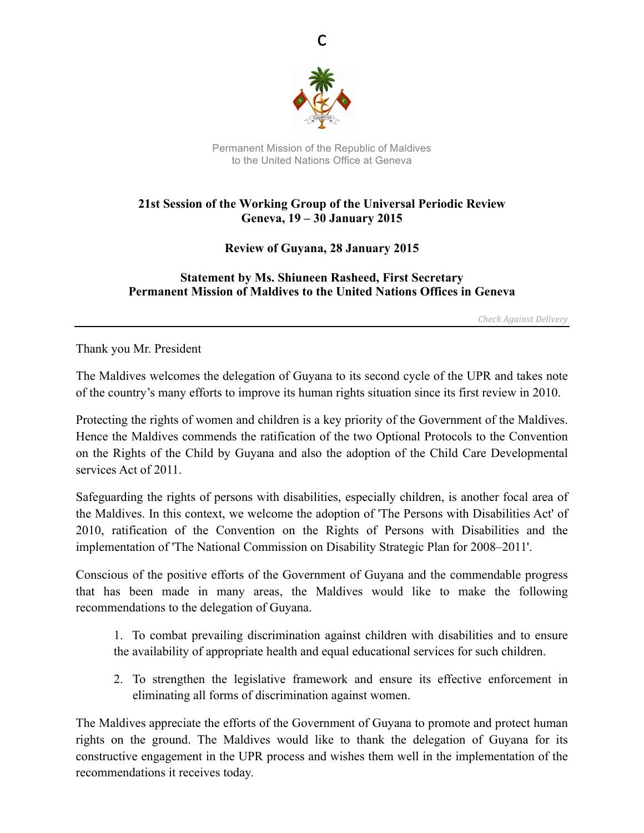

c

Permanent Mission of the Republic of Maldives to the United Nations Office at Geneva

## **21st Session of the Working Group of the Universal Periodic Review Geneva, 19 – 30 January 2015**

## **Review of Guyana, 28 January 2015**

## **Statement by Ms. Shiuneen Rasheed, First Secretary Permanent Mission of Maldives to the United Nations Offices in Geneva**

*Check Against Delivery*

Thank you Mr. President

The Maldives welcomes the delegation of Guyana to its second cycle of the UPR and takes note of the country's many efforts to improve its human rights situation since its first review in 2010.

Protecting the rights of women and children is a key priority of the Government of the Maldives. Hence the Maldives commends the ratification of the two Optional Protocols to the Convention on the Rights of the Child by Guyana and also the adoption of the Child Care Developmental services Act of 2011.

Safeguarding the rights of persons with disabilities, especially children, is another focal area of the Maldives. In this context, we welcome the adoption of 'The Persons with Disabilities Act' of 2010, ratification of the Convention on the Rights of Persons with Disabilities and the implementation of 'The National Commission on Disability Strategic Plan for 2008–2011'.

Conscious of the positive efforts of the Government of Guyana and the commendable progress that has been made in many areas, the Maldives would like to make the following recommendations to the delegation of Guyana.

1. To combat prevailing discrimination against children with disabilities and to ensure the availability of appropriate health and equal educational services for such children.

2. To strengthen the legislative framework and ensure its effective enforcement in eliminating all forms of discrimination against women.

The Maldives appreciate the efforts of the Government of Guyana to promote and protect human rights on the ground. The Maldives would like to thank the delegation of Guyana for its constructive engagement in the UPR process and wishes them well in the implementation of the recommendations it receives today.